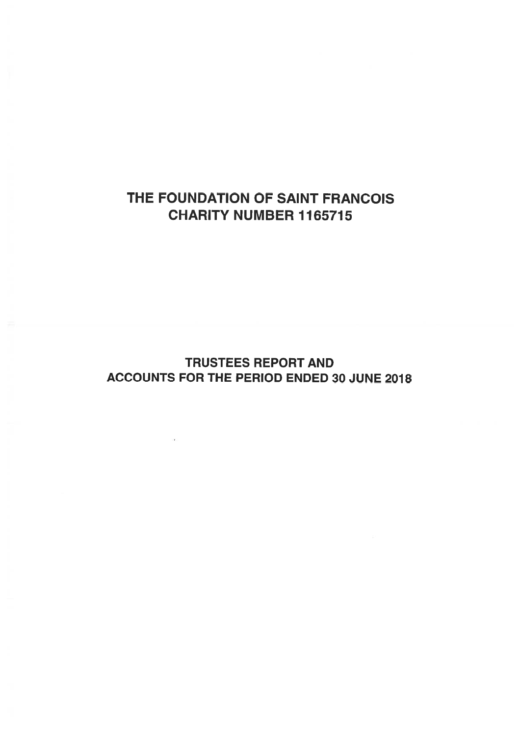# THE FOUNDATION OF SAINT FRANCOIS CHARITY NUMBER 1165715

# TRUSTEES REPORT AND ACCOUNTS FOR THE PERIOD ENDED 30 JUNE 2018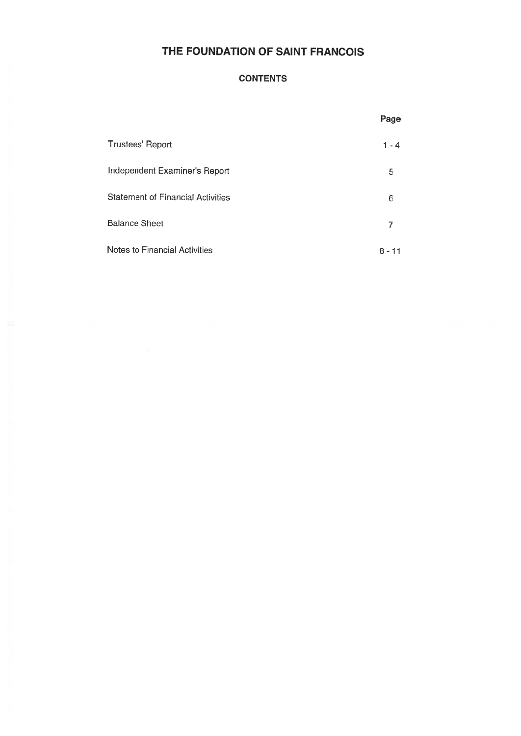### **CONTENTS**

|                                          | Page        |
|------------------------------------------|-------------|
| <b>Trustees' Report</b>                  | $1 - 4$     |
| Independent Examiner's Report            | 5           |
| <b>Statement of Financial Activities</b> | 6           |
| <b>Balance Sheet</b>                     | 7           |
| Notes to Financial Activities            | $8 -$<br>11 |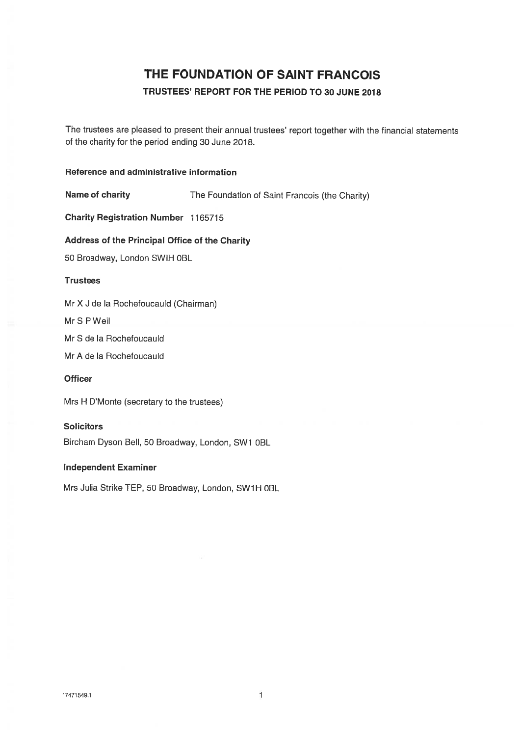### TRUSTEES' REPORT FOR THE PERIOD TO 30 JUNE 2078

The trustees are <sup>p</sup>leased to presen<sup>t</sup> their annual trustees' repor<sup>t</sup> together with the financial statements of the charity for the period ending 30 June 2018.

### Reference and administrative information

Name of charity The Foundation of Saint Francois (the Charity)

Charity Registration Number 1165715

Address of the Principal Office of the Charity

50 Broadway, London SWIH OBL

#### **Trustees**

Mr X J de Ia Rochefoucauld (Chairman)

Mr S P Weil

Mr S de Ia Rochefoucauld

Mr A de Ia Rochefoucauld

### **Officer**

Mrs H D'Monte (secretary to the trustees)

#### **Solicitors**

Bircham Dyson Bell, 50 Broadway, London, SW1 OBL

### Independent Examiner

Mrs Julia Strike TEP, 50 Broadway, London, SW1H 0BL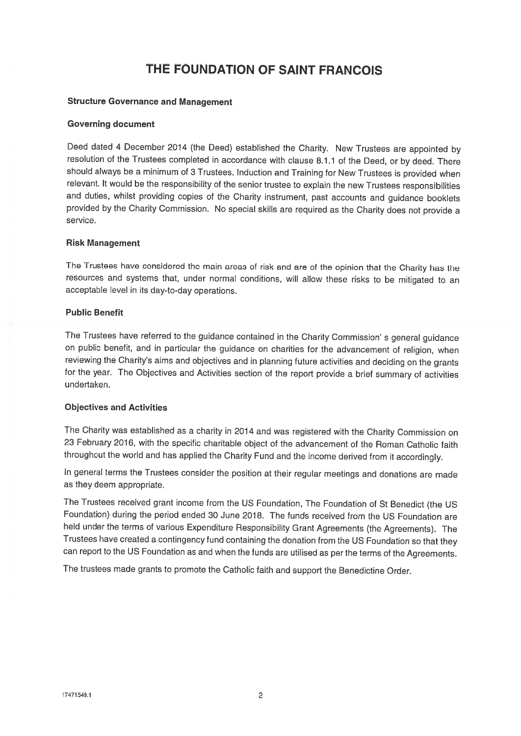#### Structure Governance and Management

#### Governing document

Deed dated <sup>4</sup> December <sup>2014</sup> (the Deed) established the Charity. New Trustees are appointed by resolution of the Trustees completed in accordance with clause 8.1.1 of the Deed, or by deed. There should always be <sup>a</sup> minimum of <sup>3</sup> Trustees. Induction and Training for New Trustees is provided when relevant. It would be the responsibility of the senior trustee to explain the new Trustees responsibilities and duties, whilst providing copies of the Charity instrument, past accounts and guidance booklets provided by the Charity Commission. No special skills are required as the Charity does not provide <sup>a</sup> service.

#### Risk Management

The Trustees have considered the main areas of risk and are of the opinion that the Charity has the resources and systems that, under normal conditions, will allow these risks to be mitigated to an acceptable level in its day-to-day operations.

### Public Benefit

The Trustees have referred to the guidance contained in the Charity Commission' <sup>s</sup> general guidance on public benefit, and in particular the guidance on charities for the advancement of religion, when reviewing the Charity's aims and objectives and in <sup>p</sup>lanning future activities and deciding on the grants for the year. The Objectives and Activities section of the report provide <sup>a</sup> brief summary of activities undertaken.

#### Objectives and Activities

The Charity was established as <sup>a</sup> charity in <sup>2014</sup> and was registered with the Charity Commission on <sup>23</sup> February 2016, with the specific charitable object of the advancement of the Roman Catholic faith throughout the world and has applied the Charity Fund and the income derived from it accordingly.

In general terms the Trustees consider the position at their regular meetings and donations are made as they deem appropriate.

The Trustees received grant income from the US Foundation, The Foundation of St Benedict (the US Foundation) during the period ended <sup>30</sup> June 2018. The funds received from the US Foundation are held under the terms of various Expenditure Responsibility Grant Agreements (the Agreements). The Trustees have created <sup>a</sup> contingency fund containing the donation from the US Foundation so that they can report to the US Foundation as and when the funds are utilised as per the terms of the Agreements.

The trustees made grants to promote the Catholic faith and support the Benedictine Order.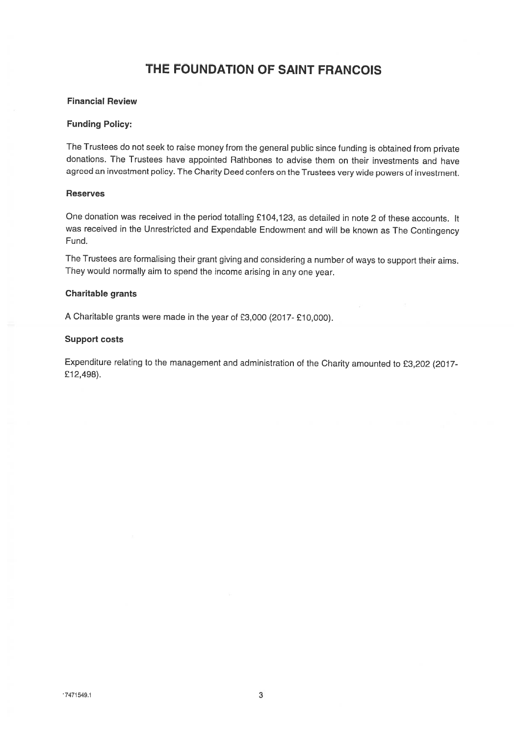### Financial Review

#### Funding Policy:

The Trustees do not seek to raise money from the general public since funding is obtained from private donations. The Trustees have appointed Rathbones to advise them on their investments and have agreed an investment policy. The Charity Deed confers on the Trustees very wide powers of investment.

#### Reserves

One donation was received in the period totalling £104,123, as detailed in note <sup>2</sup> of these accounts. It was received in the Unrestricted and Expendable Endowment and will be known as The Contingency Fund.

The Trustees are formalising their grant <sup>g</sup>iving and considering <sup>a</sup> number of ways to support their aims. They would normally aim to spend the income arising in any one year.

#### Charitable grants

<sup>A</sup> Charitable grants were made in the year of £3,000 (2017- £10,000).

#### Support costs

Expenditure relating to the management and administration of the Charity amounted to £3,202 (2017- £12,498).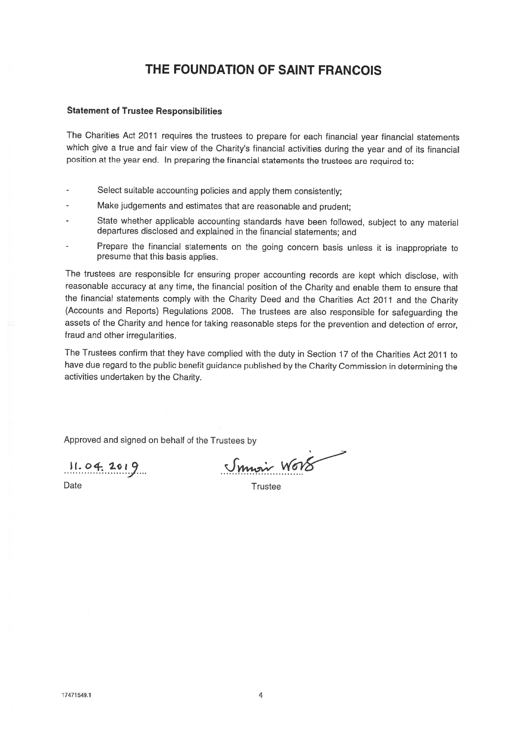### Statement of Trustee Responsibilities

The Charities Act <sup>2011</sup> requires the trustees to prepare for each financial year financial statements which <sup>g</sup>ive <sup>a</sup> true and fair view of the Charity's financial activities during the year and of its financial position at the year end. In preparing the financial statements the trustees are required to:

- Select suitable accounting policies and apply them consistently;
- Make judgements and estimates that are reasonable and prudent;
- State whether applicable accounting standards have been followed, subject to any material departures disclosed and explained in the financial statements; and
- Prepare the financial statements on the going concern basis unless it is inappropriate to presume that this basis applies.

The trustees are responsible for ensuring proper accounting records are kept which disclose, with reasonable accuracy at any time, the financial position of the Charity and enable them to ensure that the financial statements comply with the Charity Deed and the Charities Act <sup>2011</sup> and the Charity (Accounts and Reports) Regulations 2008. The trustees are also responsible for safeguarding the assets of the Charity and hence for taking reasonable steps for the prevention and detection of error, fraud and other irregularities.

The Trustees confirm that they have complied with the duty in Section <sup>17</sup> of the Charities Act <sup>2011</sup> to have due regard to the public benefit guidance published by the Charity Commission in determining the activities undertaken by the Charity.

Approved and signed on behalf of the Trustees by

 $11.04.2019$ 

Smoir Wors

Date Trustee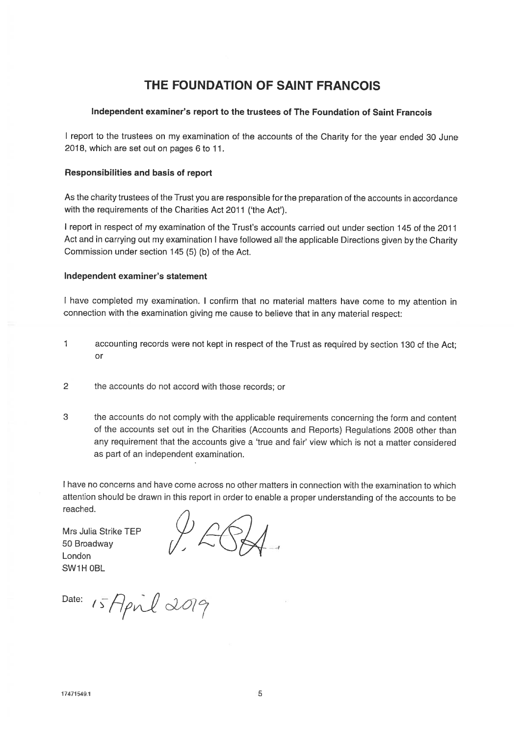### Independent examiner's repor<sup>t</sup> to the trustees of The Foundation of Saint Francois

<sup>I</sup> repor<sup>t</sup> to the trustees on my examination of the accounts of the Charity for the year ended <sup>30</sup> June 2018, which are set out on pages <sup>6</sup> to 11.

### Responsibilities and basis of repor<sup>t</sup>

As the charity trustees of the Trust you are responsible for the preparation of the accounts in accordance with the requirements of the Charities Act 2011 ('the Act').

I repor<sup>t</sup> in respec<sup>t</sup> of my examination of the Trust's accounts carried out under section 145 of the 2011 Act and in carrying out my examination <sup>I</sup> have followed all the applicable Directions <sup>g</sup>iven by the Charity Commission under section 145 (5) (b) of the Act.

### Independent examiner's statement

<sup>I</sup> have completed my examination. <sup>I</sup> confirm that no material matters have come to my attention in connection with the examination <sup>g</sup>iving me cause to believe that in any material respect:

- <sup>1</sup> accounting records were not kept in respec<sup>t</sup> of the Trust as required by section <sup>130</sup> of the Act; or
- 2 the accounts do not accord with those records; or
- 3 the accounts do not comply with the applicable requirements concerning the form and content of the accounts set out in the Charities (Accounts and Reports) Regulations <sup>2008</sup> other than any requirement that the accounts give <sup>a</sup> 'true and fair' view which is not <sup>a</sup> matter considered as par<sup>t</sup> of an independent examination.

I have no concerns and have come across no other matters in connection with the examination to which attention should be drawn in this repor<sup>t</sup> in order to enable <sup>a</sup> proper understanding of the accounts to be reached.

Mrs Julia Strike TEP 50 Broadway London SW1H OBL

Date:  $15$  April 2019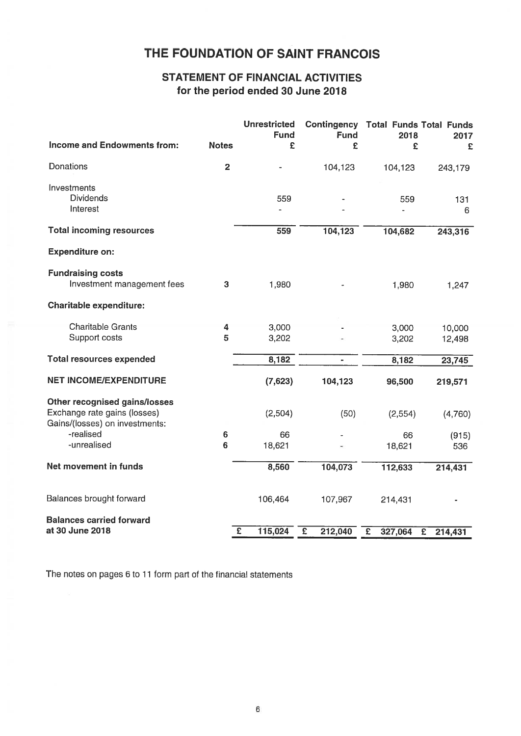## STATEMENT OF FINANCIAL ACTIVITIES for the period ended 30 June 2078

|                                                                                                 |              | THE FOUNDATION OF SAINT FRANCOIS                                              |                           |                                                         |                  |
|-------------------------------------------------------------------------------------------------|--------------|-------------------------------------------------------------------------------|---------------------------|---------------------------------------------------------|------------------|
|                                                                                                 |              | <b>STATEMENT OF FINANCIAL ACTIVITIES</b><br>for the period ended 30 June 2018 |                           |                                                         |                  |
| Income and Endowments from:                                                                     | <b>Notes</b> | <b>Unrestricted</b><br><b>Fund</b><br>£                                       | <b>Fund</b><br>£          | <b>Contingency Total Funds Total Funds</b><br>2018<br>£ | 2017<br>£        |
| Donations                                                                                       | $\mathbf{2}$ |                                                                               | 104,123                   | 104,123                                                 | 243,179          |
| Investments<br><b>Dividends</b><br>Interest                                                     |              | 559                                                                           |                           | 559                                                     | 131<br>6         |
| <b>Total incoming resources</b>                                                                 |              | 559                                                                           | 104,123                   | 104,682                                                 | 243,316          |
| <b>Expenditure on:</b>                                                                          |              |                                                                               |                           |                                                         |                  |
| <b>Fundraising costs</b><br>Investment management fees                                          | 3            | 1,980                                                                         |                           | 1,980                                                   | 1,247            |
| <b>Charitable expenditure:</b>                                                                  |              |                                                                               |                           |                                                         |                  |
| <b>Charitable Grants</b><br>Support costs                                                       | 4<br>5       | 3,000<br>3,202                                                                |                           | 3,000<br>3,202                                          | 10,000<br>12,498 |
| <b>Total resources expended</b>                                                                 |              | 8,182                                                                         |                           | 8,182                                                   | 23,745           |
| <b>NET INCOME/EXPENDITURE</b>                                                                   |              | (7,623)                                                                       | 104,123                   | 96,500                                                  | 219,571          |
| Other recognised gains/losses<br>Exchange rate gains (losses)<br>Gains/(losses) on investments: |              | (2,504)                                                                       | (50)                      | (2, 554)                                                | (4,760)          |
| -realised<br>-unrealised                                                                        | 6<br>6       | 66<br>18,621                                                                  |                           | 66<br>18,621                                            | (915)<br>536     |
| Net movement in funds                                                                           |              | 8,560                                                                         | 104,073                   | 112,633                                                 | 214,431          |
| Balances brought forward                                                                        |              | 106,464                                                                       | 107,967                   | 214,431                                                 |                  |
| <b>Balances carried forward</b><br>at 30 June 2018                                              |              | 115,024<br>$\overline{E}$                                                     | $\overline{E}$<br>212,040 | $\overline{\mathbf{f}}$<br>327,064<br>$\overline{E}$    | 214,431          |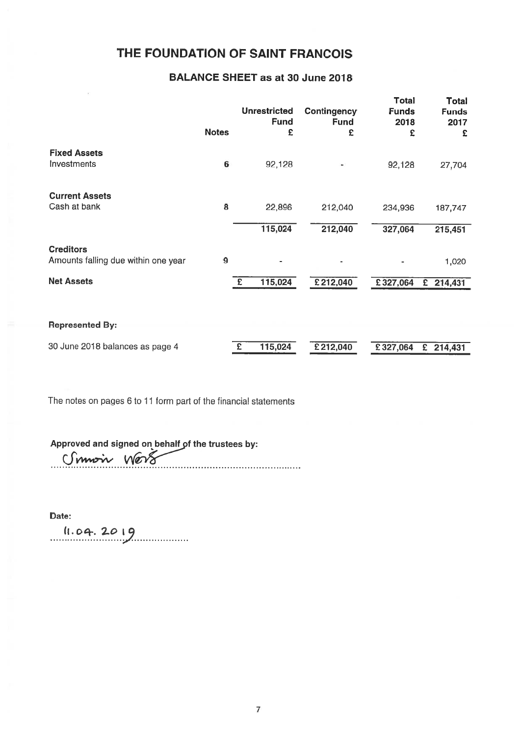## BALANCE SHEET as at 30 June 2018

|                                                         |                  | <b>Unrestricted</b><br><b>Fund</b> | <b>Contingency</b><br><b>Fund</b> | <b>Total</b><br><b>Funds</b><br>2018 | <b>Total</b><br><b>Funds</b><br>2017 |
|---------------------------------------------------------|------------------|------------------------------------|-----------------------------------|--------------------------------------|--------------------------------------|
|                                                         | <b>Notes</b>     | £                                  | £                                 | £                                    | £                                    |
| <b>Fixed Assets</b><br>Investments                      | 6                | 92,128                             |                                   | 92,128                               | 27,704                               |
| <b>Current Assets</b><br>Cash at bank                   | 8                | 22,896                             | 212,040                           | 234,936                              | 187,747                              |
|                                                         |                  | 115,024                            | 212,040                           | 327,064                              | 215,451                              |
| <b>Creditors</b><br>Amounts falling due within one year | $\boldsymbol{9}$ |                                    |                                   |                                      | 1,020                                |
| <b>Net Assets</b>                                       |                  | 115,024<br>£                       | £212,040                          | £327,064                             | $£$ 214,431                          |
| <b>Represented By:</b>                                  |                  |                                    |                                   |                                      |                                      |
| 30 June 2018 balances as page 4                         |                  | 115,024<br>£                       | £212,040                          | £327,064                             | £ $214,431$                          |

The notes on pages <sup>6</sup> to 11 form par<sup>t</sup> of the financial statements

Approved and signed on behalf of the trustees by:<br>
<del>( ) with the trustees by:</del>

Date:

 $11.04.2019$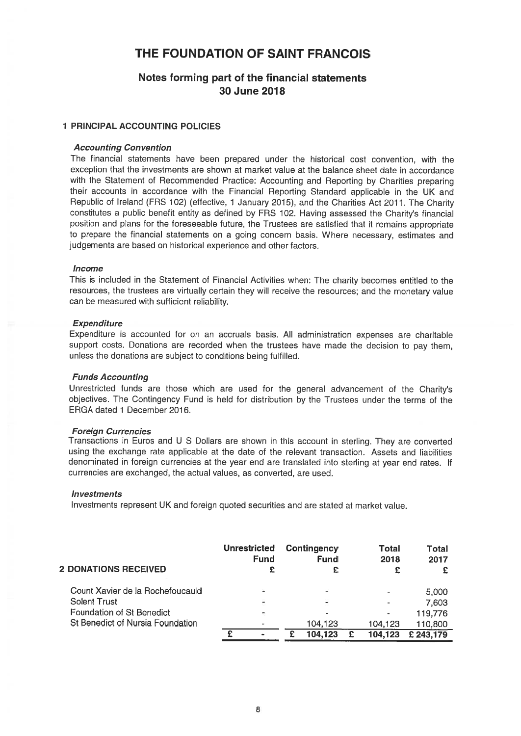### Notes forming par<sup>t</sup> of the financial statements 30 June 2018

#### 1 PRINCIPAL ACCOUNTING POLICIES

### Accounting Convention

The financial statements have been prepared under the historical cost convention, with the exception that the investments are shown at market value at the balance sheet date in accordance with the Statement of Recommended Practice: Accounting and Reporting by Charities preparing their accounts in accordance with the Financial Reporting Standard applicable in the UK and Republic of Ireland (FRS 102) (effective, <sup>1</sup> January 2015), and the Charities Act 2011. The Charity constitutes <sup>a</sup> public benefit entity as defined by FRS 102. Having assessed the Charity's financial position and <sup>p</sup>lans for the foreseeable future, the Trustees are satisfied that it remains appropriate to prepare the financial statements on <sup>a</sup> going concern basis. Where necessary, estimates and judgements are based on historical experience and other factors.

#### **Income**

This is included in the Statement of Financial Activities when: The charity becomes entitled to the resources, the trustees are virtually certain they will receive the resources; and the monetary value can be measured with sufficient reliability.

#### **Expenditure**

Expenditure is accounted for on an accruals basis. All administration expenses are charitable suppor<sup>t</sup> costs. Donations are recorded when the trustees have made the decision to pay them, unless the donations are subject to conditions being fulfilled.

#### Funds Accounting

Unrestricted funds are those which are used for the genera<sup>l</sup> advancement of the Charity's objectives. The Contingency Fund is held for distribution by the Trustees under the terms of the ERGA dated 1 December 2016.

#### **Foreign Currencies**

Transactions in Euros and <sup>U</sup> <sup>S</sup> Dollars are shown in this account in sterling. They are converted using the exchange rate applicable at the date of the relevant transaction. Assets and liabilities denominated in foreign currencies at the year end are translated into sterling at year end rates. If currencies are exchanged, the actual values, as converted, are used.

#### **Investments**

Investments represen<sup>t</sup> UK and foreign quoted securities and are stated at market value.

| <b>2 DONATIONS RECEIVED</b>      | <b>Unrestricted</b><br>Fund<br>£ | Contingency<br><b>Fund</b> | Total<br>2018<br>£       | Total<br>2017 |
|----------------------------------|----------------------------------|----------------------------|--------------------------|---------------|
| Count Xavier de la Rochefoucauld | z                                | ۰                          |                          | 5,000         |
| <b>Solent Trust</b>              |                                  | -                          |                          | 7,603         |
| Foundation of St Benedict        |                                  |                            | $\overline{\phantom{a}}$ | 119,776       |
| St Benedict of Nursia Foundation |                                  | 104.123                    | 104,123                  | 110,800       |
|                                  |                                  | 104,123                    | 104, 123                 | £ 243,179     |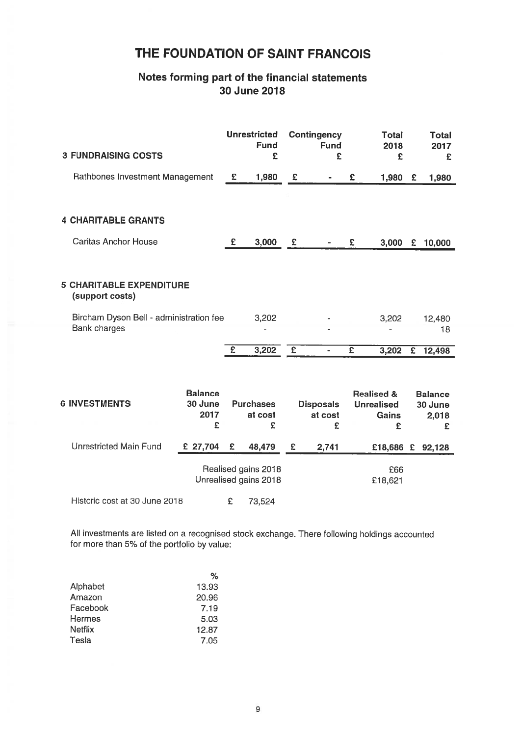### Notes forming par<sup>t</sup> of the financial statements 30 June 2018

| <b>3 FUNDRAISING COSTS</b>                                     |                                        |                | <b>Unrestricted</b><br><b>Fund</b><br>£      |                         | Contingency<br><b>Fund</b><br>£  |                         | <b>Total</b><br>2018<br>£                                |                | <b>Total</b><br>2017<br>£               |
|----------------------------------------------------------------|----------------------------------------|----------------|----------------------------------------------|-------------------------|----------------------------------|-------------------------|----------------------------------------------------------|----------------|-----------------------------------------|
| Rathbones Investment Management                                |                                        | E              | 1,980                                        | £                       |                                  | £                       | 1,980                                                    | £              | 1,980                                   |
|                                                                |                                        |                |                                              |                         |                                  |                         |                                                          |                |                                         |
| <b>4 CHARITABLE GRANTS</b>                                     |                                        |                |                                              |                         |                                  |                         |                                                          |                |                                         |
| <b>Caritas Anchor House</b>                                    |                                        | £              | 3,000                                        | £                       |                                  | £                       | 3,000                                                    | £              | 10,000                                  |
|                                                                |                                        |                |                                              |                         |                                  |                         |                                                          |                |                                         |
| <b>5 CHARITABLE EXPENDITURE</b><br>(support costs)             |                                        |                |                                              |                         |                                  |                         |                                                          |                |                                         |
| Bircham Dyson Bell - administration fee<br><b>Bank charges</b> |                                        |                | 3,202                                        |                         |                                  |                         | 3,202                                                    |                | 12,480<br>18                            |
|                                                                |                                        | $\overline{f}$ | 3,202                                        | $\overline{\mathbf{f}}$ |                                  | $\overline{\mathbf{f}}$ | 3,202                                                    | $\overline{E}$ | 12,498                                  |
|                                                                |                                        |                |                                              |                         |                                  |                         |                                                          |                |                                         |
| <b>6 INVESTMENTS</b>                                           | <b>Balance</b><br>30 June<br>2017<br>£ |                | <b>Purchases</b><br>at cost<br>£             |                         | <b>Disposals</b><br>at cost<br>£ |                         | <b>Realised &amp;</b><br><b>Unrealised</b><br>Gains<br>£ |                | <b>Balance</b><br>30 June<br>2,018<br>£ |
| <b>Unrestricted Main Fund</b>                                  | £ 27,704                               | £              | 48,479                                       | £                       | 2,741                            |                         | £18,686 £                                                |                | 92,128                                  |
|                                                                |                                        |                | Realised gains 2018<br>Unrealised gains 2018 |                         |                                  |                         | £66<br>£18,621                                           |                |                                         |

Historic cost at 30 June 2018 <br>E 73,524

All investments are listed on <sup>a</sup> recognised stock exchange. There following holdings accounted for more than 5% of the portfolio by value:

|          | %     |
|----------|-------|
| Alphabet | 13.93 |
| Amazon   | 20.96 |
| Facebook | 7.19  |
| Hermes   | 5.03  |
| Netflix  | 12.87 |
| Tesla    | 7.05  |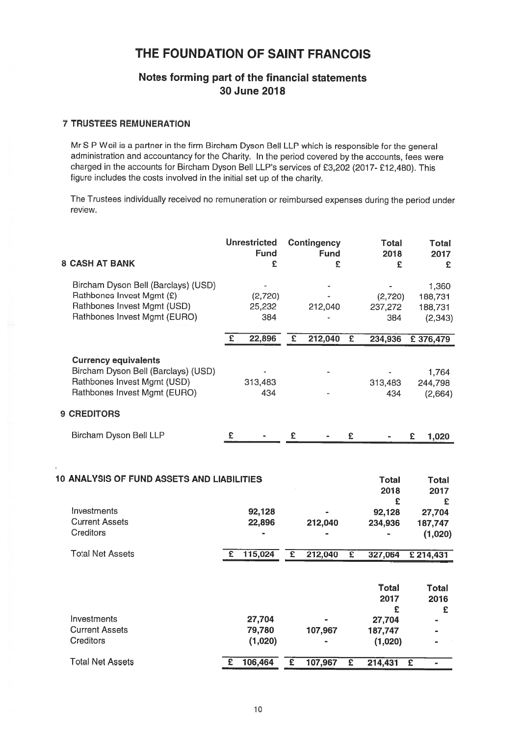## Notes forming par<sup>t</sup> of the financial statements 30 June 2018

### 7 TRUSTEES REMUNERATION

Mr S P Weil is a partner in the firm Bircham Dyson Bell LLP which is responsible for the general administration and accountancy for the Charity. In the period covered by the accounts, fees were charged in the accounts for Bircham Dyson Bell LLP's services of £3,202 (2017- £12,480). This figure includes the costs involved in the initial set up of the charity.

The Trustees individually received no remuneration or reimbursed expenses during the period under review.

| <b>8 CASH AT BANK</b>                                                                                                             |   | <b>Unrestricted</b><br><b>Fund</b><br>£ |                         | <b>Contingency</b><br><b>Fund</b><br>£ |                         | <b>Total</b><br>2018<br>£                                 | <b>Total</b><br>2017<br>£                                 |
|-----------------------------------------------------------------------------------------------------------------------------------|---|-----------------------------------------|-------------------------|----------------------------------------|-------------------------|-----------------------------------------------------------|-----------------------------------------------------------|
| Bircham Dyson Bell (Barclays) (USD)<br>Rathbones Invest Mgmt (£)<br>Rathbones Invest Mgmt (USD)<br>Rathbones Invest Mgmt (EURO)   |   | (2,720)<br>25,232<br>384                |                         | 212,040                                |                         | (2,720)<br>237,272<br>384                                 | 1,360<br>188,731<br>188,731<br>(2, 343)                   |
|                                                                                                                                   | E | 22,896                                  | £                       | 212,040                                | $\overline{\epsilon}$   | 234,936                                                   | £ 376,479                                                 |
| <b>Currency equivalents</b><br>Bircham Dyson Bell (Barclays) (USD)<br>Rathbones Invest Mgmt (USD)<br>Rathbones Invest Mgmt (EURO) |   | 313,483<br>434                          |                         |                                        |                         | 313,483<br>434                                            | 1,764<br>244,798<br>(2,664)                               |
| <b>9 CREDITORS</b>                                                                                                                |   |                                         |                         |                                        |                         |                                                           |                                                           |
| Bircham Dyson Bell LLP                                                                                                            | £ |                                         | £                       |                                        | £                       |                                                           | £<br>1,020                                                |
| <b>10 ANALYSIS OF FUND ASSETS AND LIABILITIES</b><br>Investments<br><b>Current Assets</b><br><b>Creditors</b>                     |   | 92,128<br>22,896                        |                         | 212,040                                |                         | <b>Total</b><br>2018<br>£<br>92,128<br>234,936            | <b>Total</b><br>2017<br>£<br>27,704<br>187,747<br>(1,020) |
| <b>Total Net Assets</b>                                                                                                           | £ | 115,024                                 | $\overline{\mathbf{f}}$ | 212,040                                | $\overline{\mathbf{f}}$ | 327,064                                                   | £214,431                                                  |
| Investments<br><b>Current Assets</b><br><b>Creditors</b>                                                                          |   | 27,704<br>79,780<br>(1,020)             |                         | 107,967                                |                         | <b>Total</b><br>2017<br>£<br>27,704<br>187,747<br>(1,020) | <b>Total</b><br>2016<br>£                                 |
| <b>Total Net Assets</b>                                                                                                           | £ | 106,464                                 | £                       | 107,967                                | $\overline{\mathbf{f}}$ | 214,431                                                   | $\overline{\mathbf{f}}$<br>$\qquad \qquad \blacksquare$   |